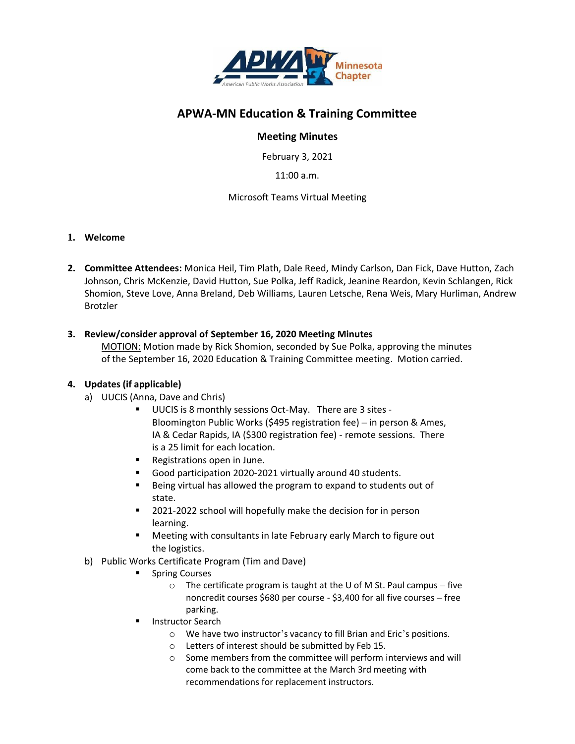

# **APWA-MN Education & Training Committee**

## **Meeting Minutes**

February 3, 2021

11:00 a.m.

### Microsoft Teams Virtual Meeting

#### **1. Welcome**

**2. Committee Attendees:** Monica Heil, Tim Plath, Dale Reed, Mindy Carlson, Dan Fick, Dave Hutton, Zach Johnson, Chris McKenzie, David Hutton, Sue Polka, Jeff Radick, Jeanine Reardon, Kevin Schlangen, Rick Shomion, Steve Love, Anna Breland, Deb Williams, Lauren Letsche, Rena Weis, Mary Hurliman, Andrew Brotzler

### **3. Review/consider approval of September 16, 2020 Meeting Minutes**

MOTION: Motion made by Rick Shomion, seconded by Sue Polka, approving the minutes of the September 16, 2020 Education & Training Committee meeting. Motion carried.

#### **4. Updates (if applicable)**

- a) UUCIS (Anna, Dave and Chris)
	- UUCIS is 8 monthly sessions Oct-May. There are 3 sites -Bloomington Public Works (\$495 registration fee) – in person & Ames, IA & Cedar Rapids, IA (\$300 registration fee) - remote sessions. There is a 25 limit for each location.
	- Registrations open in June.
	- Good participation 2020-2021 virtually around 40 students.
	- Being virtual has allowed the program to expand to students out of state.
	- 2021-2022 school will hopefully make the decision for in person learning.
	- Meeting with consultants in late February early March to figure out the logistics.
- b) Public Works Certificate Program (Tim and Dave)
	- **Spring Courses** 
		- $\circ$  The certificate program is taught at the U of M St. Paul campus five noncredit courses \$680 per course - \$3,400 for all five courses – free parking.
	- **Instructor Search** 
		- o We have two instructor's vacancy to fill Brian and Eric's positions.
		- o Letters of interest should be submitted by Feb 15.
		- o Some members from the committee will perform interviews and will come back to the committee at the March 3rd meeting with recommendations for replacement instructors.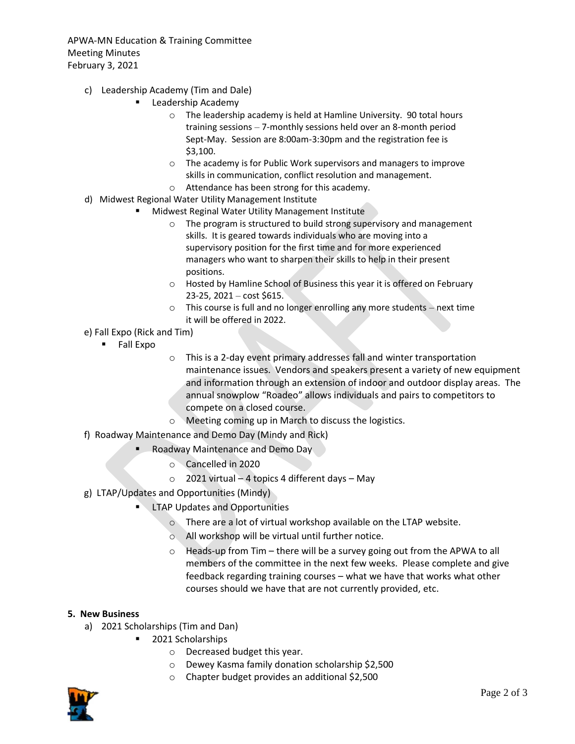APWA-MN Education & Training Committee Meeting Minutes February 3, 2021

- c) Leadership Academy (Tim and Dale)
	- Leadership Academy
		- o The leadership academy is held at Hamline University. 90 total hours training sessions – 7-monthly sessions held over an 8-month period Sept-May. Session are 8:00am-3:30pm and the registration fee is \$3,100.
		- o The academy is for Public Work supervisors and managers to improve skills in communication, conflict resolution and management.
		- o Attendance has been strong for this academy.
- d) Midwest Regional Water Utility Management Institute
	- Midwest Reginal Water Utility Management Institute
		- o The program is structured to build strong supervisory and management skills. It is geared towards individuals who are moving into a supervisory position for the first time and for more experienced managers who want to sharpen their skills to help in their present positions.
		- o Hosted by Hamline School of Business this year it is offered on February 23-25, 2021 – cost \$615.
		- o This course is full and no longer enrolling any more students next time it will be offered in 2022.
- e) Fall Expo (Rick and Tim)
	- Fall Expo
- o This is a 2-day event primary addresses fall and winter transportation maintenance issues. Vendors and speakers present a variety of new equipment and information through an extension of indoor and outdoor display areas. The annual snowplow "Roadeo" allows individuals and pairs to competitors to compete on a closed course.
- o Meeting coming up in March to discuss the logistics.
- f) Roadway Maintenance and Demo Day (Mindy and Rick)
	- Roadway Maintenance and Demo Day
		- o Cancelled in 2020
		- $\circ$  2021 virtual 4 topics 4 different days May
- g) LTAP/Updates and Opportunities (Mindy)
	- **LTAP Updates and Opportunities** 
		- o There are a lot of virtual workshop available on the LTAP website.
		- o All workshop will be virtual until further notice.
		- o Heads-up from Tim there will be a survey going out from the APWA to all members of the committee in the next few weeks. Please complete and give feedback regarding training courses – what we have that works what other courses should we have that are not currently provided, etc.

#### **5. New Business**

- a) 2021 Scholarships (Tim and Dan)
	- 2021 Scholarships
		- o Decreased budget this year.
		- o Dewey Kasma family donation scholarship \$2,500
		- o Chapter budget provides an additional \$2,500